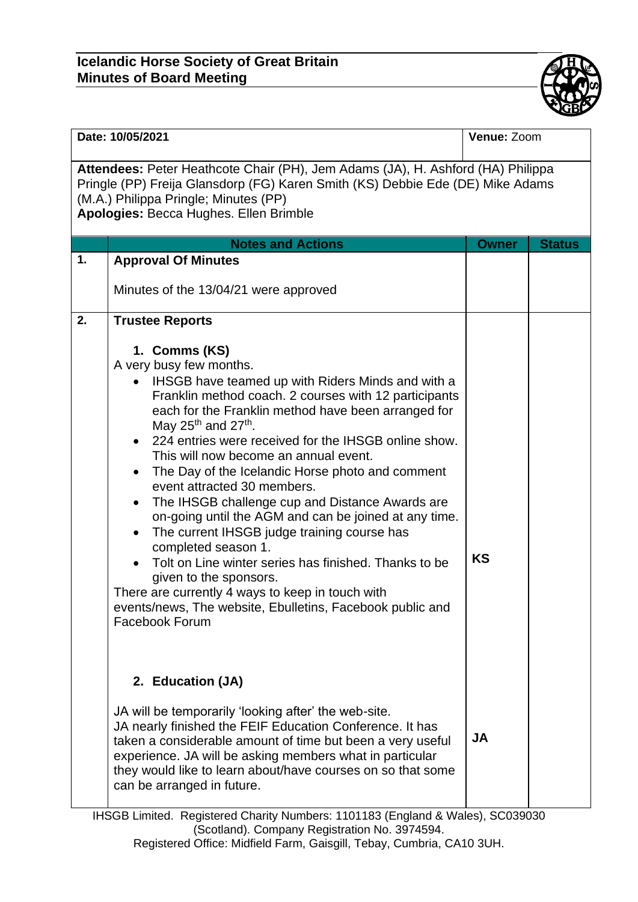## **Icelandic Horse Society of Great Britain Minutes of Board Meeting**



| Date: 10/05/2021                                                                                                                                                                                                                                     |                                                                                                                                                                                                                                                                                                                                                                                                                                                                                                                                                                                                                                                                                                                                                                                                                                                                                      | Venue: Zoom  |               |  |
|------------------------------------------------------------------------------------------------------------------------------------------------------------------------------------------------------------------------------------------------------|--------------------------------------------------------------------------------------------------------------------------------------------------------------------------------------------------------------------------------------------------------------------------------------------------------------------------------------------------------------------------------------------------------------------------------------------------------------------------------------------------------------------------------------------------------------------------------------------------------------------------------------------------------------------------------------------------------------------------------------------------------------------------------------------------------------------------------------------------------------------------------------|--------------|---------------|--|
| Attendees: Peter Heathcote Chair (PH), Jem Adams (JA), H. Ashford (HA) Philippa<br>Pringle (PP) Freija Glansdorp (FG) Karen Smith (KS) Debbie Ede (DE) Mike Adams<br>(M.A.) Philippa Pringle; Minutes (PP)<br>Apologies: Becca Hughes. Ellen Brimble |                                                                                                                                                                                                                                                                                                                                                                                                                                                                                                                                                                                                                                                                                                                                                                                                                                                                                      |              |               |  |
|                                                                                                                                                                                                                                                      | <b>Notes and Actions</b>                                                                                                                                                                                                                                                                                                                                                                                                                                                                                                                                                                                                                                                                                                                                                                                                                                                             | <b>Owner</b> | <b>Status</b> |  |
| 1.                                                                                                                                                                                                                                                   | <b>Approval Of Minutes</b><br>Minutes of the 13/04/21 were approved                                                                                                                                                                                                                                                                                                                                                                                                                                                                                                                                                                                                                                                                                                                                                                                                                  |              |               |  |
| 2.                                                                                                                                                                                                                                                   | <b>Trustee Reports</b>                                                                                                                                                                                                                                                                                                                                                                                                                                                                                                                                                                                                                                                                                                                                                                                                                                                               |              |               |  |
|                                                                                                                                                                                                                                                      | 1. Comms (KS)<br>A very busy few months.<br>IHSGB have teamed up with Riders Minds and with a<br>$\bullet$<br>Franklin method coach. 2 courses with 12 participants<br>each for the Franklin method have been arranged for<br>May 25 <sup>th</sup> and 27 <sup>th</sup> .<br>• 224 entries were received for the IHSGB online show.<br>This will now become an annual event.<br>The Day of the Icelandic Horse photo and comment<br>event attracted 30 members.<br>The IHSGB challenge cup and Distance Awards are<br>$\bullet$<br>on-going until the AGM and can be joined at any time.<br>The current IHSGB judge training course has<br>completed season 1.<br>Tolt on Line winter series has finished. Thanks to be<br>given to the sponsors.<br>There are currently 4 ways to keep in touch with<br>events/news, The website, Ebulletins, Facebook public and<br>Facebook Forum | <b>KS</b>    |               |  |
|                                                                                                                                                                                                                                                      | 2. Education (JA)                                                                                                                                                                                                                                                                                                                                                                                                                                                                                                                                                                                                                                                                                                                                                                                                                                                                    |              |               |  |
|                                                                                                                                                                                                                                                      | JA will be temporarily 'looking after' the web-site.<br>JA nearly finished the FEIF Education Conference. It has<br>taken a considerable amount of time but been a very useful<br>experience. JA will be asking members what in particular<br>they would like to learn about/have courses on so that some<br>can be arranged in future.                                                                                                                                                                                                                                                                                                                                                                                                                                                                                                                                              | <b>JA</b>    |               |  |

IHSGB Limited. Registered Charity Numbers: 1101183 (England & Wales), SC039030 (Scotland). Company Registration No. 3974594. Registered Office: Midfield Farm, Gaisgill, Tebay, Cumbria, CA10 3UH.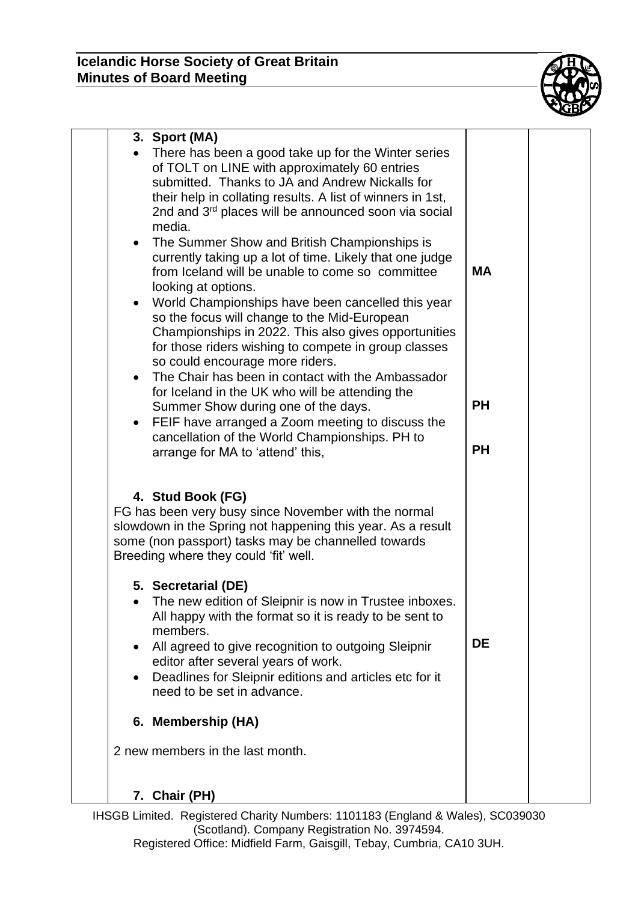

| 3. Sport (MA)<br>There has been a good take up for the Winter series<br>of TOLT on LINE with approximately 60 entries<br>submitted. Thanks to JA and Andrew Nickalls for<br>their help in collating results. A list of winners in 1st,<br>2nd and 3 <sup>rd</sup> places will be announced soon via social<br>media.<br>The Summer Show and British Championships is<br>$\bullet$<br>currently taking up a lot of time. Likely that one judge<br>from Iceland will be unable to come so committee<br>looking at options.<br>World Championships have been cancelled this year<br>$\bullet$<br>so the focus will change to the Mid-European<br>Championships in 2022. This also gives opportunities<br>for those riders wishing to compete in group classes<br>so could encourage more riders.<br>The Chair has been in contact with the Ambassador<br>$\bullet$<br>for Iceland in the UK who will be attending the<br>Summer Show during one of the days.<br>FEIF have arranged a Zoom meeting to discuss the<br>$\bullet$<br>cancellation of the World Championships. PH to<br>arrange for MA to 'attend' this, | <b>MA</b><br><b>PH</b><br><b>PH</b> |
|------------------------------------------------------------------------------------------------------------------------------------------------------------------------------------------------------------------------------------------------------------------------------------------------------------------------------------------------------------------------------------------------------------------------------------------------------------------------------------------------------------------------------------------------------------------------------------------------------------------------------------------------------------------------------------------------------------------------------------------------------------------------------------------------------------------------------------------------------------------------------------------------------------------------------------------------------------------------------------------------------------------------------------------------------------------------------------------------------------------|-------------------------------------|
| 4. Stud Book (FG)<br>FG has been very busy since November with the normal<br>slowdown in the Spring not happening this year. As a result<br>some (non passport) tasks may be channelled towards<br>Breeding where they could 'fit' well.                                                                                                                                                                                                                                                                                                                                                                                                                                                                                                                                                                                                                                                                                                                                                                                                                                                                         |                                     |
| 5. Secretarial (DE)<br>• The new edition of Sleipnir is now in Trustee inboxes.<br>All happy with the format so it is ready to be sent to<br>members.<br>All agreed to give recognition to outgoing Sleipnir<br>$\bullet$<br>editor after several years of work.<br>Deadlines for Sleipnir editions and articles etc for it<br>$\bullet$<br>need to be set in advance.                                                                                                                                                                                                                                                                                                                                                                                                                                                                                                                                                                                                                                                                                                                                           | <b>DE</b>                           |
| 6. Membership (HA)                                                                                                                                                                                                                                                                                                                                                                                                                                                                                                                                                                                                                                                                                                                                                                                                                                                                                                                                                                                                                                                                                               |                                     |
| 2 new members in the last month.                                                                                                                                                                                                                                                                                                                                                                                                                                                                                                                                                                                                                                                                                                                                                                                                                                                                                                                                                                                                                                                                                 |                                     |
| 7. Chair (PH)                                                                                                                                                                                                                                                                                                                                                                                                                                                                                                                                                                                                                                                                                                                                                                                                                                                                                                                                                                                                                                                                                                    |                                     |

IHSGB Limited. Registered Charity Numbers: 1101183 (England & Wales), SC039030 (Scotland). Company Registration No. 3974594. Registered Office: Midfield Farm, Gaisgill, Tebay, Cumbria, CA10 3UH.